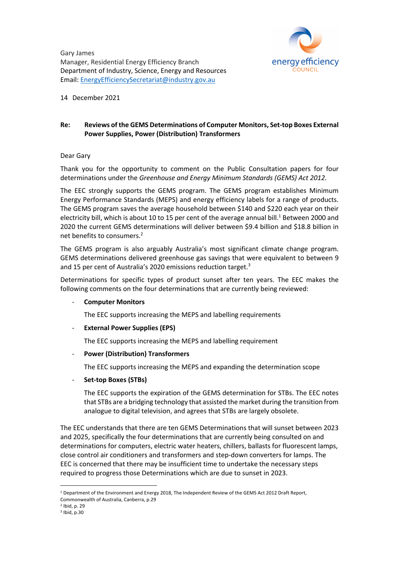Gary James Manager, Residential Energy Efficiency Branch Department of Industry, Science, Energy and Resources Email: EnergyEfficiencySecretariat@industry.gov.au



14 December 2021

### **Re: Reviews of the GEMS Determinations of Computer Monitors, Set-top Boxes External Power Supplies, Power (Distribution) Transformers**

### Dear Gary

Thank you for the opportunity to comment on the Public Consultation papers for four determinations under the *Greenhouse and Energy Minimum Standards (GEMS) Act 2012.*

The EEC strongly supports the GEMS program. The GEMS program establishes Minimum Energy Performance Standards (MEPS) and energy efficiency labels for a range of products. The GEMS program saves the average household between \$140 and \$220 each year on their electricity bill, which is about 10 to 15 per cent of the average annual bill.<sup>1</sup> Between 2000 and 2020 the current GEMS determinations will deliver between \$9.4 billion and \$18.8 billion in net benefits to consumers.2

The GEMS program is also arguably Australia's most significant climate change program. GEMS determinations delivered greenhouse gas savings that were equivalent to between 9 and 15 per cent of Australia's 2020 emissions reduction target.<sup>3</sup>

Determinations for specific types of product sunset after ten years. The EEC makes the following comments on the four determinations that are currently being reviewed:

# - **Computer Monitors**

The EEC supports increasing the MEPS and labelling requirements

# - **External Power Supplies (EPS)**

The EEC supports increasing the MEPS and labelling requirement

# - **Power (Distribution) Transformers**

The EEC supports increasing the MEPS and expanding the determination scope

- **Set-top Boxes (STBs)**

The EEC supports the expiration of the GEMS determination for STBs. The EEC notes that STBs are a bridging technology that assisted the market during the transition from analogue to digital television, and agrees that STBs are largely obsolete.

The EEC understands that there are ten GEMS Determinations that will sunset between 2023 and 2025, specifically the four determinations that are currently being consulted on and determinations for computers, electric water heaters, chillers, ballasts for fluorescent lamps, close control air conditioners and transformers and step-down converters for lamps. The EEC is concerned that there may be insufficient time to undertake the necessary steps required to progress those Determinations which are due to sunset in 2023.

<sup>&</sup>lt;sup>1</sup> Department of the Environment and Energy 2018, The Independent Review of the GEMS Act 2012 Draft Report, Commonwealth of Australia, Canberra, p.29

<sup>2</sup> Ibid, p. 29

<sup>3</sup> Ibid, p.30